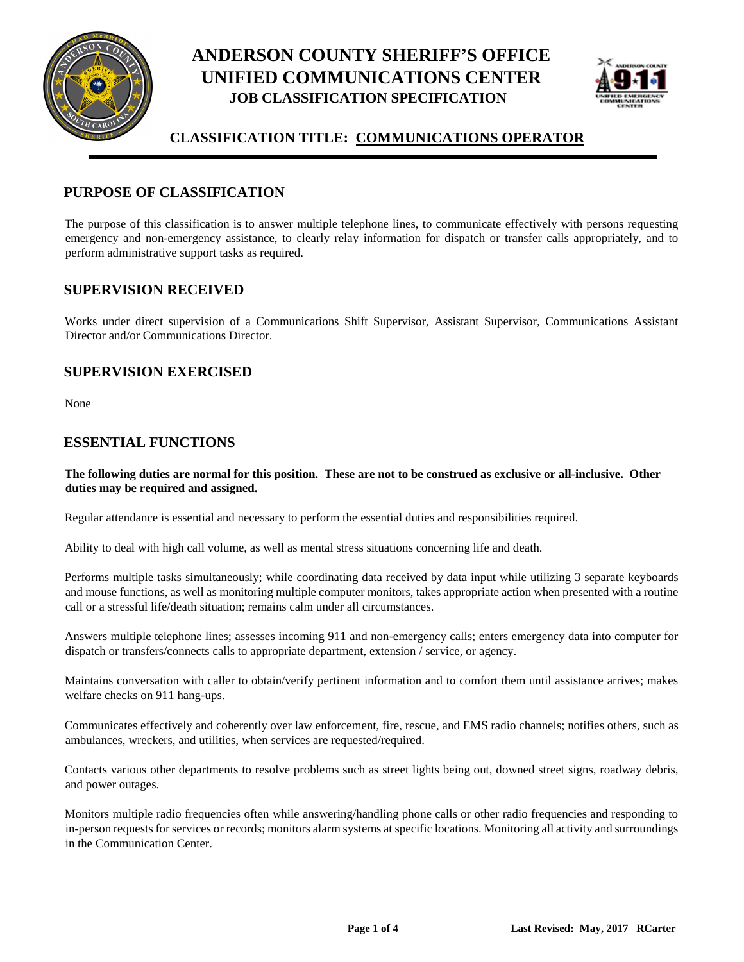



### **CLASSIFICATION TITLE: COMMUNICATIONS OPERATOR**

### **PURPOSE OF CLASSIFICATION**

The purpose of this classification is to answer multiple telephone lines, to communicate effectively with persons requesting emergency and non-emergency assistance, to clearly relay information for dispatch or transfer calls appropriately, and to perform administrative support tasks as required.

#### **SUPERVISION RECEIVED**

Works under direct supervision of a Communications Shift Supervisor, Assistant Supervisor, Communications Assistant Director and/or Communications Director.

#### **SUPERVISION EXERCISED**

None

#### **ESSENTIAL FUNCTIONS**

**The following duties are normal for this position. These are not to be construed as exclusive or all-inclusive. Other duties may be required and assigned.**

Regular attendance is essential and necessary to perform the essential duties and responsibilities required.

Ability to deal with high call volume, as well as mental stress situations concerning life and death.

Performs multiple tasks simultaneously; while coordinating data received by data input while utilizing 3 separate keyboards and mouse functions, as well as monitoring multiple computer monitors, takes appropriate action when presented with a routine call or a stressful life/death situation; remains calm under all circumstances.

Answers multiple telephone lines; assesses incoming 911 and non-emergency calls; enters emergency data into computer for dispatch or transfers/connects calls to appropriate department, extension / service, or agency.

Maintains conversation with caller to obtain/verify pertinent information and to comfort them until assistance arrives; makes welfare checks on 911 hang-ups.

Communicates effectively and coherently over law enforcement, fire, rescue, and EMS radio channels; notifies others, such as ambulances, wreckers, and utilities, when services are requested/required.

Contacts various other departments to resolve problems such as street lights being out, downed street signs, roadway debris, and power outages.

Monitors multiple radio frequencies often while answering/handling phone calls or other radio frequencies and responding to in-person requests for services or records; monitors alarm systems at specific locations. Monitoring all activity and surroundings in the Communication Center.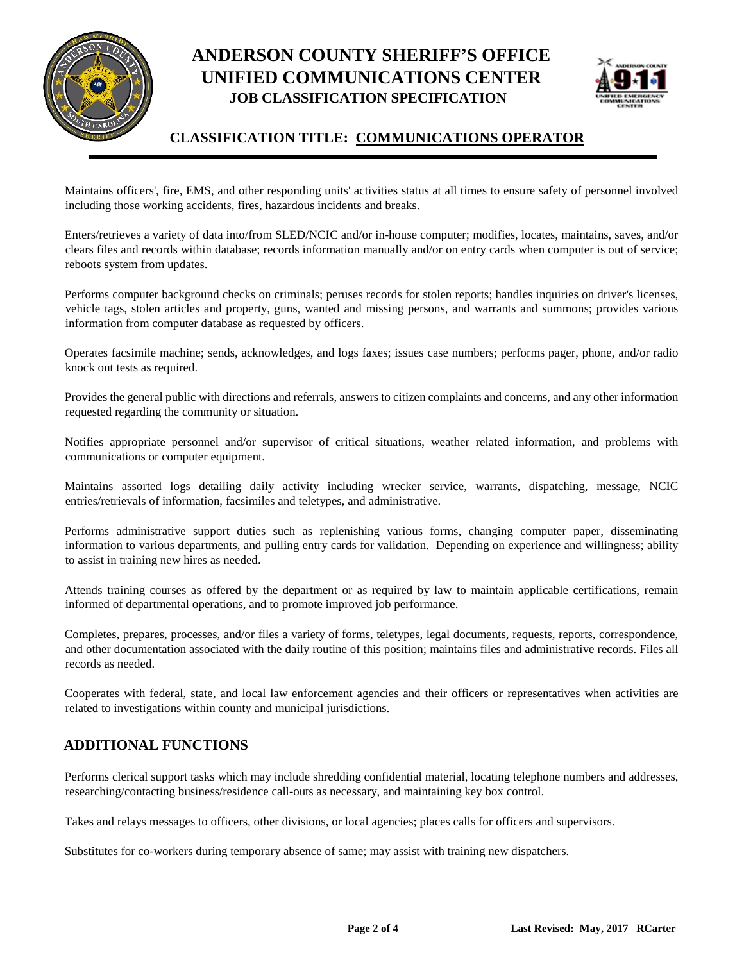



### **CLASSIFICATION TITLE: COMMUNICATIONS OPERATOR**

Maintains officers', fire, EMS, and other responding units' activities status at all times to ensure safety of personnel involved including those working accidents, fires, hazardous incidents and breaks.

Enters/retrieves a variety of data into/from SLED/NCIC and/or in-house computer; modifies, locates, maintains, saves, and/or clears files and records within database; records information manually and/or on entry cards when computer is out of service; reboots system from updates.

Performs computer background checks on criminals; peruses records for stolen reports; handles inquiries on driver's licenses, vehicle tags, stolen articles and property, guns, wanted and missing persons, and warrants and summons; provides various information from computer database as requested by officers.

Operates facsimile machine; sends, acknowledges, and logs faxes; issues case numbers; performs pager, phone, and/or radio knock out tests as required.

Provides the general public with directions and referrals, answers to citizen complaints and concerns, and any other information requested regarding the community or situation.

Notifies appropriate personnel and/or supervisor of critical situations, weather related information, and problems with communications or computer equipment.

Maintains assorted logs detailing daily activity including wrecker service, warrants, dispatching, message, NCIC entries/retrievals of information, facsimiles and teletypes, and administrative.

Performs administrative support duties such as replenishing various forms, changing computer paper, disseminating information to various departments, and pulling entry cards for validation. Depending on experience and willingness; ability to assist in training new hires as needed.

Attends training courses as offered by the department or as required by law to maintain applicable certifications, remain informed of departmental operations, and to promote improved job performance.

Completes, prepares, processes, and/or files a variety of forms, teletypes, legal documents, requests, reports, correspondence, and other documentation associated with the daily routine of this position; maintains files and administrative records. Files all records as needed.

Cooperates with federal, state, and local law enforcement agencies and their officers or representatives when activities are related to investigations within county and municipal jurisdictions.

#### **ADDITIONAL FUNCTIONS**

Performs clerical support tasks which may include shredding confidential material, locating telephone numbers and addresses, researching/contacting business/residence call-outs as necessary, and maintaining key box control.

Takes and relays messages to officers, other divisions, or local agencies; places calls for officers and supervisors.

Substitutes for co-workers during temporary absence of same; may assist with training new dispatchers.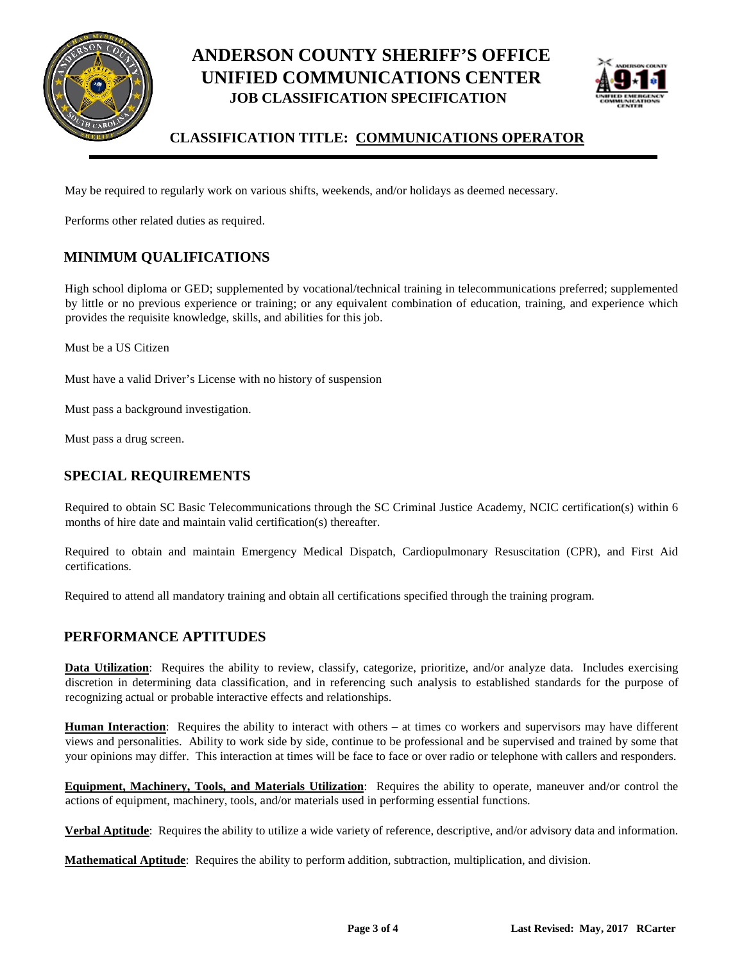



## **CLASSIFICATION TITLE: COMMUNICATIONS OPERATOR**

May be required to regularly work on various shifts, weekends, and/or holidays as deemed necessary.

Performs other related duties as required.

## **MINIMUM QUALIFICATIONS**

High school diploma or GED; supplemented by vocational/technical training in telecommunications preferred; supplemented by little or no previous experience or training; or any equivalent combination of education, training, and experience which provides the requisite knowledge, skills, and abilities for this job.

Must be a US Citizen

Must have a valid Driver's License with no history of suspension

Must pass a background investigation.

Must pass a drug screen.

### **SPECIAL REQUIREMENTS**

Required to obtain SC Basic Telecommunications through the SC Criminal Justice Academy, NCIC certification(s) within 6 months of hire date and maintain valid certification(s) thereafter.

Required to obtain and maintain Emergency Medical Dispatch, Cardiopulmonary Resuscitation (CPR), and First Aid certifications.

Required to attend all mandatory training and obtain all certifications specified through the training program.

### **PERFORMANCE APTITUDES**

**Data Utilization**: Requires the ability to review, classify, categorize, prioritize, and/or analyze data. Includes exercising discretion in determining data classification, and in referencing such analysis to established standards for the purpose of recognizing actual or probable interactive effects and relationships.

**Human Interaction**: Requires the ability to interact with others – at times co workers and supervisors may have different views and personalities. Ability to work side by side, continue to be professional and be supervised and trained by some that your opinions may differ. This interaction at times will be face to face or over radio or telephone with callers and responders.

**Equipment, Machinery, Tools, and Materials Utilization**: Requires the ability to operate, maneuver and/or control the actions of equipment, machinery, tools, and/or materials used in performing essential functions.

**Verbal Aptitude**: Requires the ability to utilize a wide variety of reference, descriptive, and/or advisory data and information.

**Mathematical Aptitude**: Requires the ability to perform addition, subtraction, multiplication, and division.